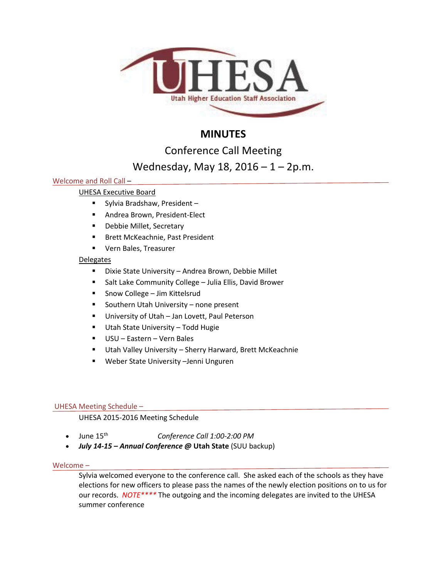

# **MINUTES**

Conference Call Meeting

# Wednesday, May 18, 2016 – 1 – 2p.m.

## Welcome and Roll Call –

## UHESA Executive Board

- Sylvia Bradshaw, President –
- **Andrea Brown, President-Elect**
- **-** Debbie Millet, Secretary
- **Brett McKeachnie, Past President**
- Vern Bales, Treasurer

## Delegates

- Dixie State University Andrea Brown, Debbie Millet
- Salt Lake Community College Julia Ellis, David Brower
- Snow College Jim Kittelsrud
- **Southern Utah University none present**
- **University of Utah Jan Lovett, Paul Peterson**
- **Utah State University Todd Hugie**
- USU Eastern Vern Bales
- Utah Valley University Sherry Harward, Brett McKeachnie
- Weber State University –Jenni Unguren

## UHESA Meeting Schedule –

## UHESA 2015-2016 Meeting Schedule

- June 15th *Conference Call 1:00-2:00 PM*
- *July 14-15 – Annual Conference @* **Utah State** (SUU backup)

## Welcome –

Sylvia welcomed everyone to the conference call. She asked each of the schools as they have elections for new officers to please pass the names of the newly election positions on to us for our records. *NOTE\*\*\*\** The outgoing and the incoming delegates are invited to the UHESA summer conference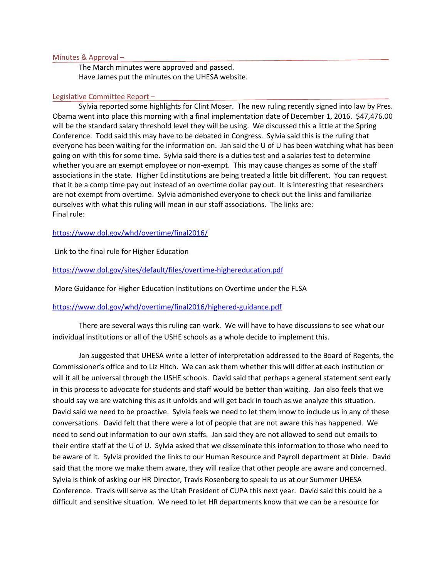#### Minutes & Approval –

The March minutes were approved and passed. Have James put the minutes on the UHESA website.

#### Legislative Committee Report –

Sylvia reported some highlights for Clint Moser. The new ruling recently signed into law by Pres. Obama went into place this morning with a final implementation date of December 1, 2016. \$47,476.00 will be the standard salary threshold level they will be using. We discussed this a little at the Spring Conference. Todd said this may have to be debated in Congress. Sylvia said this is the ruling that everyone has been waiting for the information on. Jan said the U of U has been watching what has been going on with this for some time. Sylvia said there is a duties test and a salaries test to determine whether you are an exempt employee or non-exempt. This may cause changes as some of the staff associations in the state. Higher Ed institutions are being treated a little bit different. You can request that it be a comp time pay out instead of an overtime dollar pay out. It is interesting that researchers are not exempt from overtime. Sylvia admonished everyone to check out the links and familiarize ourselves with what this ruling will mean in our staff associations. The links are: Final rule:

### <https://www.dol.gov/whd/overtime/final2016/>

Link to the final rule for Higher Education

### <https://www.dol.gov/sites/default/files/overtime-highereducation.pdf>

More Guidance for Higher Education Institutions on Overtime under the FLSA

### <https://www.dol.gov/whd/overtime/final2016/highered-guidance.pdf>

There are several ways this ruling can work. We will have to have discussions to see what our individual institutions or all of the USHE schools as a whole decide to implement this.

Jan suggested that UHESA write a letter of interpretation addressed to the Board of Regents, the Commissioner's office and to Liz Hitch. We can ask them whether this will differ at each institution or will it all be universal through the USHE schools. David said that perhaps a general statement sent early in this process to advocate for students and staff would be better than waiting. Jan also feels that we should say we are watching this as it unfolds and will get back in touch as we analyze this situation. David said we need to be proactive. Sylvia feels we need to let them know to include us in any of these conversations. David felt that there were a lot of people that are not aware this has happened. We need to send out information to our own staffs. Jan said they are not allowed to send out emails to their entire staff at the U of U. Sylvia asked that we disseminate this information to those who need to be aware of it. Sylvia provided the links to our Human Resource and Payroll department at Dixie. David said that the more we make them aware, they will realize that other people are aware and concerned. Sylvia is think of asking our HR Director, Travis Rosenberg to speak to us at our Summer UHESA Conference. Travis will serve as the Utah President of CUPA this next year. David said this could be a difficult and sensitive situation. We need to let HR departments know that we can be a resource for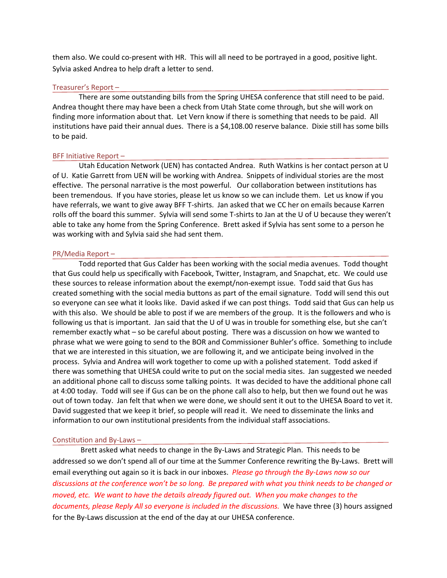them also. We could co-present with HR. This will all need to be portrayed in a good, positive light. Sylvia asked Andrea to help draft a letter to send.

#### Treasurer's Report –

There are some outstanding bills from the Spring UHESA conference that still need to be paid. Andrea thought there may have been a check from Utah State come through, but she will work on finding more information about that. Let Vern know if there is something that needs to be paid. All institutions have paid their annual dues. There is a \$4,108.00 reserve balance. Dixie still has some bills to be paid.

#### BFF Initiative Report –

Utah Education Network (UEN) has contacted Andrea. Ruth Watkins is her contact person at U of U. Katie Garrett from UEN will be working with Andrea. Snippets of individual stories are the most effective. The personal narrative is the most powerful. Our collaboration between institutions has been tremendous. If you have stories, please let us know so we can include them. Let us know if you have referrals, we want to give away BFF T-shirts. Jan asked that we CC her on emails because Karren rolls off the board this summer. Sylvia will send some T-shirts to Jan at the U of U because they weren't able to take any home from the Spring Conference. Brett asked if Sylvia has sent some to a person he was working with and Sylvia said she had sent them.

#### PR/Media Report –

Todd reported that Gus Calder has been working with the social media avenues. Todd thought that Gus could help us specifically with Facebook, Twitter, Instagram, and Snapchat, etc. We could use these sources to release information about the exempt/non-exempt issue. Todd said that Gus has created something with the social media buttons as part of the email signature. Todd will send this out so everyone can see what it looks like. David asked if we can post things. Todd said that Gus can help us with this also. We should be able to post if we are members of the group. It is the followers and who is following us that is important. Jan said that the U of U was in trouble for something else, but she can't remember exactly what – so be careful about posting. There was a discussion on how we wanted to phrase what we were going to send to the BOR and Commissioner Buhler's office. Something to include that we are interested in this situation, we are following it, and we anticipate being involved in the process. Sylvia and Andrea will work together to come up with a polished statement. Todd asked if there was something that UHESA could write to put on the social media sites. Jan suggested we needed an additional phone call to discuss some talking points. It was decided to have the additional phone call at 4:00 today. Todd will see if Gus can be on the phone call also to help, but then we found out he was out of town today. Jan felt that when we were done, we should sent it out to the UHESA Board to vet it. David suggested that we keep it brief, so people will read it. We need to disseminate the links and information to our own institutional presidents from the individual staff associations.

#### Constitution and By-Laws –

Brett asked what needs to change in the By-Laws and Strategic Plan. This needs to be addressed so we don't spend all of our time at the Summer Conference rewriting the By-Laws. Brett will email everything out again so it is back in our inboxes. *Please go through the By-Laws now so our discussions at the conference won't be so long. Be prepared with what you think needs to be changed or moved, etc. We want to have the details already figured out. When you make changes to the*  documents, please Reply All so everyone is included in the discussions. We have three (3) hours assigned for the By-Laws discussion at the end of the day at our UHESA conference.